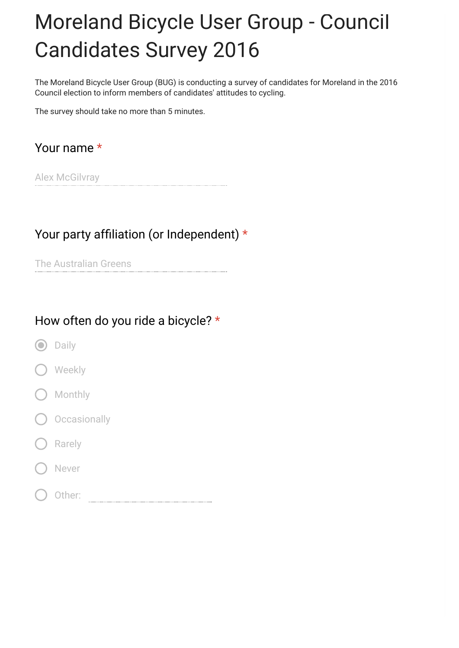# Moreland Bicycle User Group - Council Candidates Survey 2016

The Moreland Bicycle User Group (BUG) is conducting a survey of candidates for Moreland in the 2016 Council election to inform members of candidates' attitudes to cycling.

The survey should take no more than 5 minutes.

# Your name \*

Alex McGilvray

#### Your party affiliation (or Independent)  $*$

The Australian Greens

#### How often do you ride a bicycle? \*

- O Daily
- **Weekly**
- **Monthly**
- O Occasionally
- Rarely
- **Never**
- Other: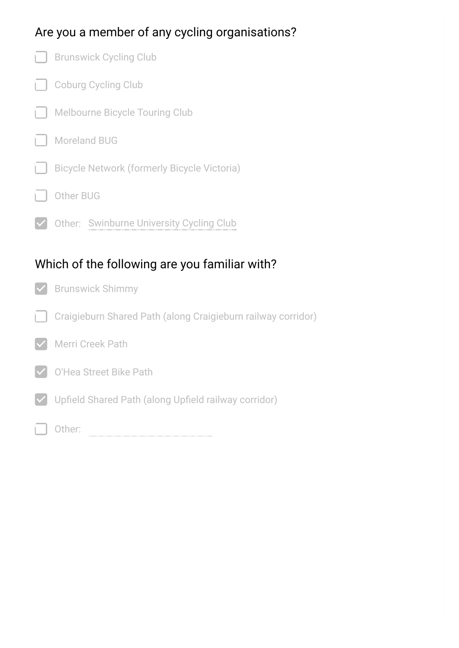## Are you a member of any cycling organisations?



Upfield Shared Path (along Upfield railway corridor)

Other:

O'Hea Street Bike Path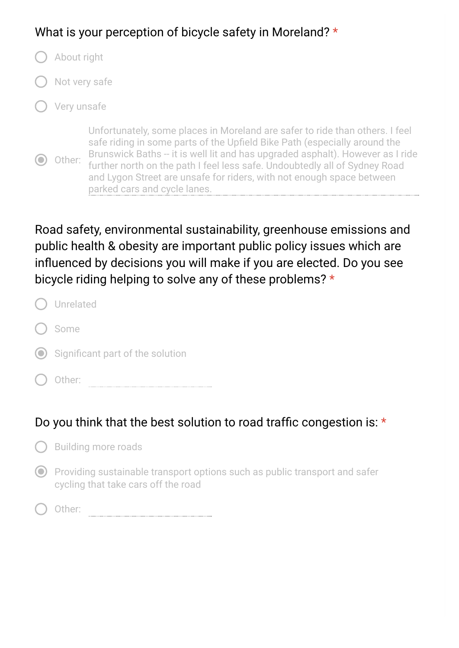# What is your perception of bicycle safety in Moreland? \*

About right Not very safe Very unsafe

O Other: Unfortunately, some places in Moreland are safer to ride than others. I feel safe riding in some parts of the Upfield Bike Path (especially around the Brunswick Baths -- it is well lit and has upgraded asphalt). However as I ride further north on the path I feel less safe. Undoubtedly all of Sydney Road and Lygon Street are unsafe for riders, with not enough space between parked cars and cycle lanes.

Road safety, environmental sustainability, greenhouse emissions and public health & obesity are important public policy issues which are influenced by decisions you will make if you are elected. Do you see bicycle riding helping to solve any of these problems? \*

| Unrelated                            |
|--------------------------------------|
| Some                                 |
| (O) Significant part of the solution |
| Other:                               |

#### Do you think that the best solution to road traffic congestion is:  $\star$

- Building more roads
- Providing sustainable transport options such as public transport and safer cycling that take cars off the road
- Other: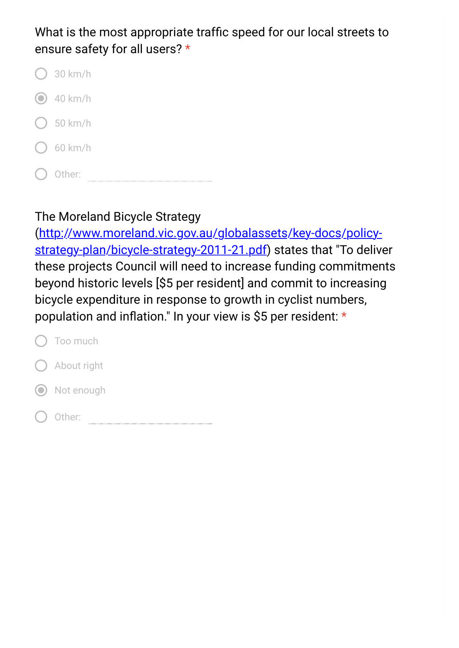#### What is the most appropriate traffic speed for our local streets to ensure safety for all users? \*

| $\left( \quad \right)$ | $30$ km/h          |
|------------------------|--------------------|
|                        | $\odot$ 40 km/h    |
|                        | $\bigcirc$ 50 km/h |
|                        | $\bigcirc$ 60 km/h |
| $\left( \quad \right)$ | Other:             |

# The Moreland Bicycle Strategy

(http://www.moreland.vic.gov.au/globalassets/key-docs/policy[strategy-plan/bicycle-strategy-2011-21.pdf\) states that "To delive](https://www.google.com/url?q=http://www.moreland.vic.gov.au/globalassets/key-docs/policy-strategy-plan/bicycle-strategy-2011-21.pdf&sa=D&ust=1475764172255000&usg=AFQjCNEvAiYhMCYIYkrhQ3Rbd5pSsFLpeA)r these projects Council will need to increase funding commitments beyond historic levels [\$5 per resident] and commit to increasing bicycle expenditure in response to growth in cyclist numbers, population and inflation." In your view is \$5 per resident:  $*$ 

| $\left( \quad \right)$ | Too much              |
|------------------------|-----------------------|
|                        | $\bigcup$ About right |
|                        | O Not enough          |
|                        | Other:                |